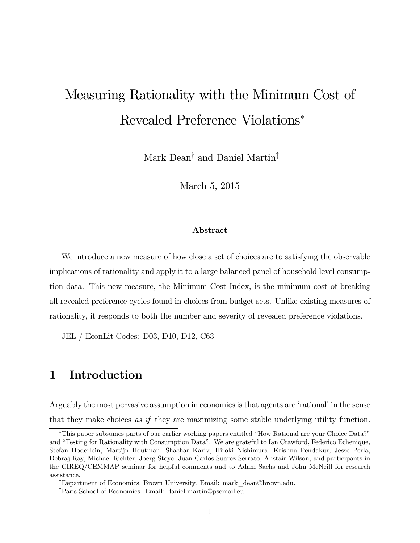# Measuring Rationality with the Minimum Cost of Revealed Preference Violations

Mark Dean<sup>†</sup> and Daniel Martin<sup>‡</sup>

March 5, 2015

## Abstract

We introduce a new measure of how close a set of choices are to satisfying the observable implications of rationality and apply it to a large balanced panel of household level consumption data. This new measure, the Minimum Cost Index, is the minimum cost of breaking all revealed preference cycles found in choices from budget sets. Unlike existing measures of rationality, it responds to both the number and severity of revealed preference violations.

JEL / EconLit Codes: D03, D10, D12, C63

# 1 Introduction

Arguably the most pervasive assumption in economics is that agents are 'rational' in the sense that they make choices as if they are maximizing some stable underlying utility function.

<sup>\*</sup>This paper subsumes parts of our earlier working papers entitled "How Rational are your Choice Data?" and "Testing for Rationality with Consumption Data". We are grateful to Ian Crawford, Federico Echenique, Stefan Hoderlein, Martijn Houtman, Shachar Kariv, Hiroki Nishimura, Krishna Pendakur, Jesse Perla, Debraj Ray, Michael Richter, Joerg Stoye, Juan Carlos Suarez Serrato, Alistair Wilson, and participants in the CIREQ/CEMMAP seminar for helpful comments and to Adam Sachs and John McNeill for research assistance.

<sup>&</sup>lt;sup>†</sup>Department of Economics, Brown University. Email: mark dean@brown.edu.

<sup>&</sup>lt;sup>‡</sup>Paris School of Economics. Email: daniel.martin@psemail.eu.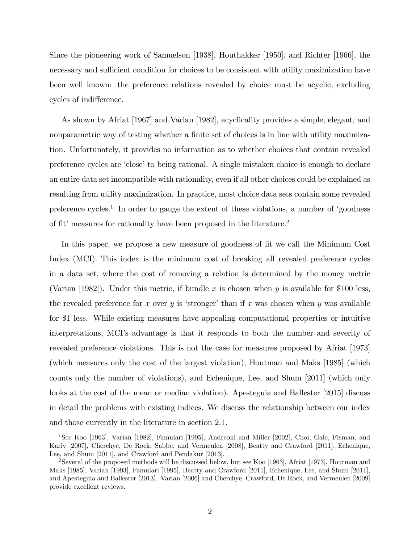Since the pioneering work of Samuelson [1938], Houthakker [1950], and Richter [1966], the necessary and sufficient condition for choices to be consistent with utility maximization have been well known: the preference relations revealed by choice must be acyclic, excluding cycles of indifference.

As shown by Afriat [1967] and Varian [1982], acyclicality provides a simple, elegant, and nonparametric way of testing whether a finite set of choices is in line with utility maximization. Unfortunately, it provides no information as to whether choices that contain revealed preference cycles are 'close' to being rational. A single mistaken choice is enough to declare an entire data set incompatible with rationality, even if all other choices could be explained as resulting from utility maximization. In practice, most choice data sets contain some revealed preference cycles.<sup>1</sup> In order to gauge the extent of these violations, a number of 'goodness of fit' measures for rationality have been proposed in the literature.<sup>2</sup>

In this paper, we propose a new measure of goodness of fit we call the Minimum Cost Index (MCI). This index is the minimum cost of breaking all revealed preference cycles in a data set, where the cost of removing a relation is determined by the money metric (Varian [1982]). Under this metric, if bundle x is chosen when y is available for \$100 less, the revealed preference for x over y is 'stronger' than if x was chosen when y was available for \$1 less. While existing measures have appealing computational properties or intuitive interpretations, MCIís advantage is that it responds to both the number and severity of revealed preference violations. This is not the case for measures proposed by Afriat [1973] (which measures only the cost of the largest violation), Houtman and Maks [1985] (which counts only the number of violations), and Echenique, Lee, and Shum [2011] (which only looks at the cost of the mean or median violation). Apesteguia and Ballester [2015] discuss in detail the problems with existing indices. We discuss the relationship between our index and those currently in the literature in section 2.1.

<sup>&</sup>lt;sup>1</sup>See Koo [1963], Varian [1982], Famulari [1995], Andreoni and Miller [2002], Choi, Gale, Fisman, and Kariv [2007], Cherchye, De Rock, Sabbe, and Vermeulen [2008], Beatty and Crawford [2011], Echenique, Lee, and Shum [2011], and Crawford and Pendakur [2013].

<sup>2</sup>Several of the proposed methods will be discussed below, but see Koo [1963], Afriat [1973], Houtman and Maks [1985], Varian [1993], Famulari [1995], Beatty and Crawford [2011], Echenique, Lee, and Shum [2011], and Apesteguia and Ballester [2013]. Varian [2006] and Cherchye, Crawford, De Rock, and Vermeulen [2009] provide excellent reviews.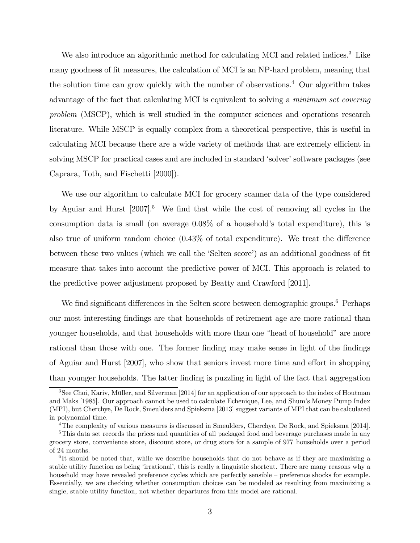We also introduce an algorithmic method for calculating MCI and related indices.<sup>3</sup> Like many goodness of fit measures, the calculation of MCI is an NP-hard problem, meaning that the solution time can grow quickly with the number of observations.<sup>4</sup> Our algorithm takes advantage of the fact that calculating MCI is equivalent to solving a minimum set covering problem (MSCP), which is well studied in the computer sciences and operations research literature. While MSCP is equally complex from a theoretical perspective, this is useful in calculating MCI because there are a wide variety of methods that are extremely efficient in solving MSCP for practical cases and are included in standard 'solver' software packages (see Caprara, Toth, and Fischetti [2000]).

We use our algorithm to calculate MCI for grocery scanner data of the type considered by Aguiar and Hurst  $[2007]$ <sup>5</sup>. We find that while the cost of removing all cycles in the consumption data is small (on average  $0.08\%$  of a household's total expenditure), this is also true of uniform random choice  $(0.43\%$  of total expenditure). We treat the difference between these two values (which we call the 'Selten score') as an additional goodness of fit measure that takes into account the predictive power of MCI. This approach is related to the predictive power adjustment proposed by Beatty and Crawford [2011].

We find significant differences in the Selten score between demographic groups.<sup>6</sup> Perhaps our most interesting Öndings are that households of retirement age are more rational than younger households, and that households with more than one "head of household" are more rational than those with one. The former finding may make sense in light of the findings of Aguiar and Hurst  $[2007]$ , who show that seniors invest more time and effort in shopping than younger households. The latter finding is puzzling in light of the fact that aggregation

 $3$ See Choi, Kariv, Müller, and Silverman [2014] for an application of our approach to the index of Houtman and Maks [1985]. Our approach cannot be used to calculate Echenique, Lee, and Shumís Money Pump Index (MPI), but Cherchye, De Rock, Smeulders and Spieksma [2013] suggest variants of MPI that can be calculated in polynomial time.

<sup>&</sup>lt;sup>4</sup>The complexity of various measures is discussed in Smeulders, Cherchye, De Rock, and Spieksma [2014].

<sup>&</sup>lt;sup>5</sup>This data set records the prices and quantities of all packaged food and beverage purchases made in any grocery store, convenience store, discount store, or drug store for a sample of 977 households over a period of 24 months.

<sup>&</sup>lt;sup>6</sup>It should be noted that, while we describe households that do not behave as if they are maximizing a stable utility function as being 'irrational', this is really a linguistic shortcut. There are many reasons why a household may have revealed preference cycles which are perfectly sensible – preference shocks for example. Essentially, we are checking whether consumption choices can be modeled as resulting from maximizing a single, stable utility function, not whether departures from this model are rational.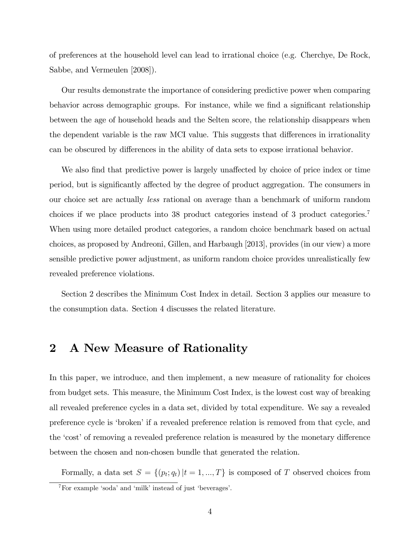of preferences at the household level can lead to irrational choice (e.g. Cherchye, De Rock, Sabbe, and Vermeulen [2008]).

Our results demonstrate the importance of considering predictive power when comparing behavior across demographic groups. For instance, while we find a significant relationship between the age of household heads and the Selten score, the relationship disappears when the dependent variable is the raw MCI value. This suggests that differences in irrationality can be obscured by differences in the ability of data sets to expose irrational behavior.

We also find that predictive power is largely unaffected by choice of price index or time period, but is significantly affected by the degree of product aggregation. The consumers in our choice set are actually less rational on average than a benchmark of uniform random choices if we place products into 38 product categories instead of 3 product categories.<sup>7</sup> When using more detailed product categories, a random choice benchmark based on actual choices, as proposed by Andreoni, Gillen, and Harbaugh [2013], provides (in our view) a more sensible predictive power adjustment, as uniform random choice provides unrealistically few revealed preference violations.

Section 2 describes the Minimum Cost Index in detail. Section 3 applies our measure to the consumption data. Section 4 discusses the related literature.

# 2 A New Measure of Rationality

In this paper, we introduce, and then implement, a new measure of rationality for choices from budget sets. This measure, the Minimum Cost Index, is the lowest cost way of breaking all revealed preference cycles in a data set, divided by total expenditure. We say a revealed preference cycle is ëbrokeníif a revealed preference relation is removed from that cycle, and the 'cost' of removing a revealed preference relation is measured by the monetary difference between the chosen and non-chosen bundle that generated the relation.

Formally, a data set  $S = \{(p_t; q_t) | t = 1, ..., T\}$  is composed of T observed choices from  ${}^{7}$ For example 'soda' and 'milk' instead of just 'beverages'.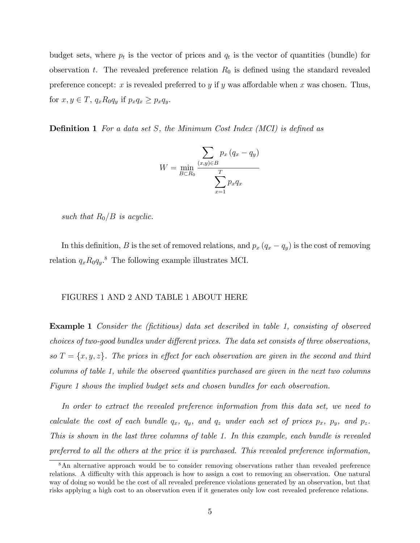budget sets, where  $p_t$  is the vector of prices and  $q_t$  is the vector of quantities (bundle) for observation t. The revealed preference relation  $R_0$  is defined using the standard revealed preference concept: x is revealed preferred to y if y was affordable when x was chosen. Thus, for  $x, y \in T$ ,  $q_x R_0 q_y$  if  $p_x q_x \geq p_x q_y$ .

**Definition 1** For a data set S, the Minimum Cost Index (MCI) is defined as

$$
W = \min_{B \subset R_0} \frac{\sum_{(x,y) \in B} p_x (q_x - q_y)}{\sum_{x=1}^T p_x q_x}
$$

such that  $R_0/B$  is acyclic.

In this definition, B is the set of removed relations, and  $p_x (q_x - q_y)$  is the cost of removing relation  $q_x R_0 q_y$ .<sup>8</sup> The following example illustrates MCI.

### FIGURES 1 AND 2 AND TABLE 1 ABOUT HERE

**Example 1** Consider the (fictitious) data set described in table 1, consisting of observed choices of two-good bundles under different prices. The data set consists of three observations, so  $T = \{x, y, z\}$ . The prices in effect for each observation are given in the second and third columns of table 1, while the observed quantities purchased are given in the next two columns Figure 1 shows the implied budget sets and chosen bundles for each observation.

In order to extract the revealed preference information from this data set, we need to calculate the cost of each bundle  $q_x$ ,  $q_y$ , and  $q_z$  under each set of prices  $p_x$ ,  $p_y$ , and  $p_z$ . This is shown in the last three columns of table 1. In this example, each bundle is revealed preferred to all the others at the price it is purchased. This revealed preference information,

<sup>&</sup>lt;sup>8</sup>An alternative approach would be to consider removing observations rather than revealed preference relations. A difficulty with this approach is how to assign a cost to removing an observation. One natural way of doing so would be the cost of all revealed preference violations generated by an observation, but that risks applying a high cost to an observation even if it generates only low cost revealed preference relations.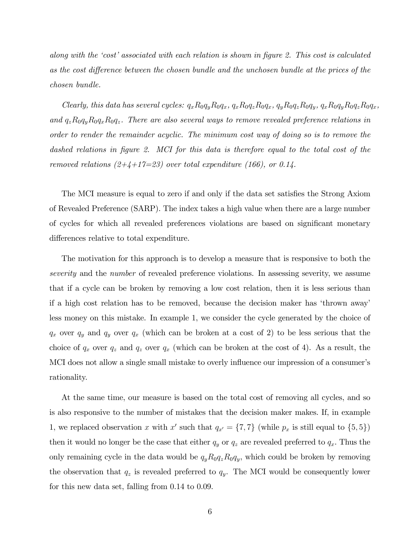along with the 'cost' associated with each relation is shown in figure 2. This cost is calculated as the cost difference between the chosen bundle and the unchosen bundle at the prices of the chosen bundle.

Clearly, this data has several cycles:  $q_xR_0q_yR_0q_x$ ,  $q_xR_0q_zR_0q_x$ ,  $q_yR_0q_zR_0q_y$ ,  $q_xR_0q_yR_0q_zR_0q_x$ , and  $q_zR_0q_yR_0q_xR_0q_z$ . There are also several ways to remove revealed preference relations in order to render the remainder acyclic. The minimum cost way of doing so is to remove the dashed relations in figure 2. MCI for this data is therefore equal to the total cost of the removed relations  $(2+4+17=23)$  over total expenditure (166), or 0.14.

The MCI measure is equal to zero if and only if the data set satisfies the Strong Axiom of Revealed Preference (SARP). The index takes a high value when there are a large number of cycles for which all revealed preferences violations are based on significant monetary differences relative to total expenditure.

The motivation for this approach is to develop a measure that is responsive to both the severity and the *number* of revealed preference violations. In assessing severity, we assume that if a cycle can be broken by removing a low cost relation, then it is less serious than if a high cost relation has to be removed, because the decision maker has ëthrown awayí less money on this mistake. In example 1, we consider the cycle generated by the choice of  $q_x$  over  $q_y$  and  $q_y$  over  $q_x$  (which can be broken at a cost of 2) to be less serious that the choice of  $q_x$  over  $q_z$  and  $q_z$  over  $q_x$  (which can be broken at the cost of 4). As a result, the MCI does not allow a single small mistake to overly influence our impression of a consumer's rationality.

At the same time, our measure is based on the total cost of removing all cycles, and so is also responsive to the number of mistakes that the decision maker makes. If, in example 1, we replaced observation x with  $x'$  such that  $q_{x'} = \{7, 7\}$  (while  $p_x$  is still equal to  $\{5, 5\}$ ) then it would no longer be the case that either  $q_y$  or  $q_z$  are revealed preferred to  $q_x$ . Thus the only remaining cycle in the data would be  $q_yR_0q_zR_0q_y$ , which could be broken by removing the observation that  $q_z$  is revealed preferred to  $q_y$ . The MCI would be consequently lower for this new data set, falling from 0.14 to 0.09.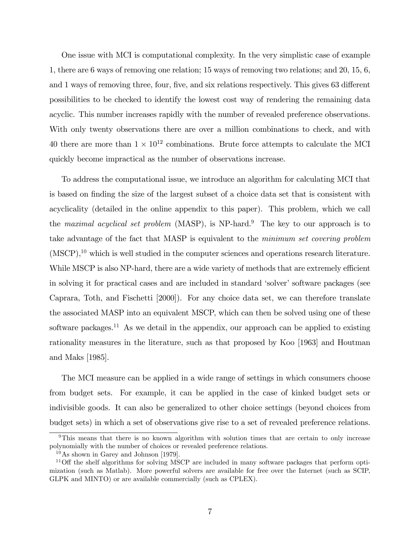One issue with MCI is computational complexity. In the very simplistic case of example 1, there are 6 ways of removing one relation; 15 ways of removing two relations; and 20, 15, 6, and 1 ways of removing three, four, five, and six relations respectively. This gives 63 different possibilities to be checked to identify the lowest cost way of rendering the remaining data acyclic. This number increases rapidly with the number of revealed preference observations. With only twenty observations there are over a million combinations to check, and with 40 there are more than  $1 \times 10^{12}$  combinations. Brute force attempts to calculate the MCI quickly become impractical as the number of observations increase.

To address the computational issue, we introduce an algorithm for calculating MCI that is based on finding the size of the largest subset of a choice data set that is consistent with acyclicality (detailed in the online appendix to this paper). This problem, which we call the maximal acyclical set problem  $(MASP)$ , is NP-hard.<sup>9</sup> The key to our approach is to take advantage of the fact that MASP is equivalent to the minimum set covering problem  $(MSCP)<sup>10</sup>$  which is well studied in the computer sciences and operations research literature. While MSCP is also NP-hard, there are a wide variety of methods that are extremely efficient in solving it for practical cases and are included in standard 'solver' software packages (see Caprara, Toth, and Fischetti [2000]). For any choice data set, we can therefore translate the associated MASP into an equivalent MSCP, which can then be solved using one of these software packages.<sup>11</sup> As we detail in the appendix, our approach can be applied to existing rationality measures in the literature, such as that proposed by Koo [1963] and Houtman and Maks [1985].

The MCI measure can be applied in a wide range of settings in which consumers choose from budget sets. For example, it can be applied in the case of kinked budget sets or indivisible goods. It can also be generalized to other choice settings (beyond choices from budget sets) in which a set of observations give rise to a set of revealed preference relations.

<sup>9</sup>This means that there is no known algorithm with solution times that are certain to only increase polynomially with the number of choices or revealed preference relations.

<sup>10</sup>As shown in Garey and Johnson [1979].

 $11$ Off the shelf algorithms for solving MSCP are included in many software packages that perform optimization (such as Matlab). More powerful solvers are available for free over the Internet (such as SCIP, GLPK and MINTO) or are available commercially (such as CPLEX).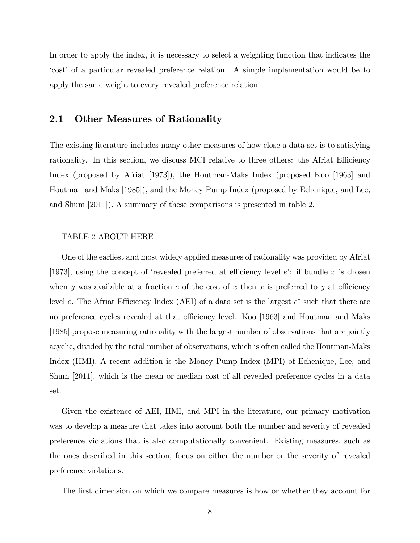In order to apply the index, it is necessary to select a weighting function that indicates the ëcostí of a particular revealed preference relation. A simple implementation would be to apply the same weight to every revealed preference relation.

## 2.1 Other Measures of Rationality

The existing literature includes many other measures of how close a data set is to satisfying rationality. In this section, we discuss MCI relative to three others: the Africat Efficiency Index (proposed by Afriat [1973]), the Houtman-Maks Index (proposed Koo [1963] and Houtman and Maks [1985]), and the Money Pump Index (proposed by Echenique, and Lee, and Shum [2011]). A summary of these comparisons is presented in table 2.

## TABLE 2 ABOUT HERE

One of the earliest and most widely applied measures of rationality was provided by Afriat [1973], using the concept of 'revealed preferred at efficiency level e': if bundle x is chosen when y was available at a fraction e of the cost of x then x is preferred to y at efficiency level e. The Afriat Efficiency Index (AEI) of a data set is the largest  $e^*$  such that there are no preference cycles revealed at that efficiency level. Koo [1963] and Houtman and Maks [1985] propose measuring rationality with the largest number of observations that are jointly acyclic, divided by the total number of observations, which is often called the Houtman-Maks Index (HMI). A recent addition is the Money Pump Index (MPI) of Echenique, Lee, and Shum [2011], which is the mean or median cost of all revealed preference cycles in a data set.

Given the existence of AEI, HMI, and MPI in the literature, our primary motivation was to develop a measure that takes into account both the number and severity of revealed preference violations that is also computationally convenient. Existing measures, such as the ones described in this section, focus on either the number or the severity of revealed preference violations.

The first dimension on which we compare measures is how or whether they account for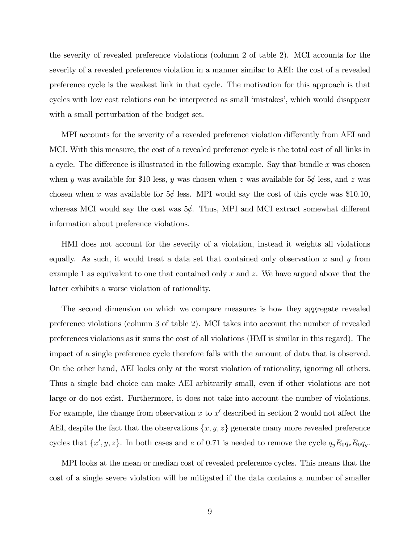the severity of revealed preference violations (column 2 of table 2). MCI accounts for the severity of a revealed preference violation in a manner similar to AEI: the cost of a revealed preference cycle is the weakest link in that cycle. The motivation for this approach is that cycles with low cost relations can be interpreted as small 'mistakes', which would disappear with a small perturbation of the budget set.

MPI accounts for the severity of a revealed preference violation differently from AEI and MCI. With this measure, the cost of a revealed preference cycle is the total cost of all links in a cycle. The difference is illustrated in the following example. Say that bundle  $x$  was chosen when y was available for \$10 less, y was chosen when z was available for  $5\notin$  less, and z was chosen when x was available for  $5\phi$  less. MPI would say the cost of this cycle was \$10.10, whereas MCI would say the cost was  $5\ell$ . Thus, MPI and MCI extract somewhat different information about preference violations.

HMI does not account for the severity of a violation, instead it weights all violations equally. As such, it would treat a data set that contained only observation  $x$  and  $y$  from example 1 as equivalent to one that contained only  $x$  and  $z$ . We have argued above that the latter exhibits a worse violation of rationality.

The second dimension on which we compare measures is how they aggregate revealed preference violations (column 3 of table 2). MCI takes into account the number of revealed preferences violations as it sums the cost of all violations (HMI is similar in this regard). The impact of a single preference cycle therefore falls with the amount of data that is observed. On the other hand, AEI looks only at the worst violation of rationality, ignoring all others. Thus a single bad choice can make AEI arbitrarily small, even if other violations are not large or do not exist. Furthermore, it does not take into account the number of violations. For example, the change from observation x to  $x'$  described in section 2 would not affect the AEI, despite the fact that the observations  $\{x, y, z\}$  generate many more revealed preference cycles that  $\{x', y, z\}$ . In both cases and e of 0.71 is needed to remove the cycle  $q_y R_0 q_z R_0 q_y$ .

MPI looks at the mean or median cost of revealed preference cycles. This means that the cost of a single severe violation will be mitigated if the data contains a number of smaller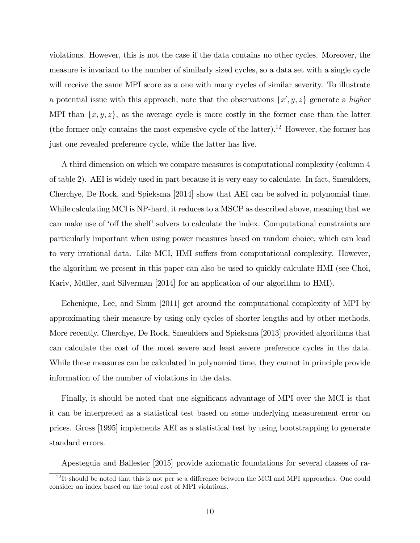violations. However, this is not the case if the data contains no other cycles. Moreover, the measure is invariant to the number of similarly sized cycles, so a data set with a single cycle will receive the same MPI score as a one with many cycles of similar severity. To illustrate a potential issue with this approach, note that the observations  $\{x', y, z\}$  generate a *higher* MPI than  $\{x, y, z\}$ , as the average cycle is more costly in the former case than the latter (the former only contains the most expensive cycle of the latter).<sup>12</sup> However, the former has just one revealed preference cycle, while the latter has five.

A third dimension on which we compare measures is computational complexity (column 4 of table 2). AEI is widely used in part because it is very easy to calculate. In fact, Smeulders, Cherchye, De Rock, and Spieksma [2014] show that AEI can be solved in polynomial time. While calculating MCI is NP-hard, it reduces to a MSCP as described above, meaning that we can make use of 'off the shelf' solvers to calculate the index. Computational constraints are particularly important when using power measures based on random choice, which can lead to very irrational data. Like MCI, HMI suffers from computational complexity. However, the algorithm we present in this paper can also be used to quickly calculate HMI (see Choi, Kariv, Müller, and Silverman [2014] for an application of our algorithm to HMI).

Echenique, Lee, and Shum [2011] get around the computational complexity of MPI by approximating their measure by using only cycles of shorter lengths and by other methods. More recently, Cherchye, De Rock, Smeulders and Spieksma [2013] provided algorithms that can calculate the cost of the most severe and least severe preference cycles in the data. While these measures can be calculated in polynomial time, they cannot in principle provide information of the number of violations in the data.

Finally, it should be noted that one significant advantage of MPI over the MCI is that it can be interpreted as a statistical test based on some underlying measurement error on prices. Gross [1995] implements AEI as a statistical test by using bootstrapping to generate standard errors.

Apesteguia and Ballester [2015] provide axiomatic foundations for several classes of ra-

 $12$ It should be noted that this is not per se a difference between the MCI and MPI approaches. One could consider an index based on the total cost of MPI violations.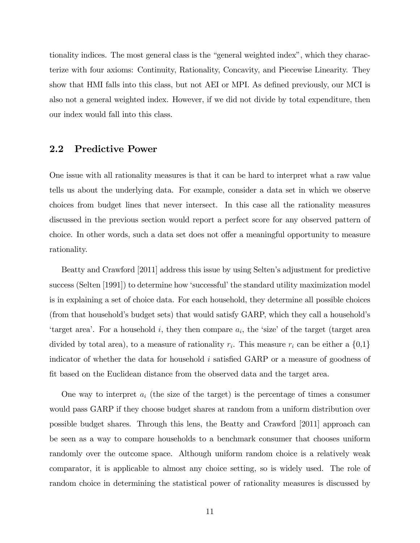tionality indices. The most general class is the "general weighted index", which they characterize with four axioms: Continuity, Rationality, Concavity, and Piecewise Linearity. They show that HMI falls into this class, but not AEI or MPI. As defined previously, our MCI is also not a general weighted index. However, if we did not divide by total expenditure, then our index would fall into this class.

## 2.2 Predictive Power

One issue with all rationality measures is that it can be hard to interpret what a raw value tells us about the underlying data. For example, consider a data set in which we observe choices from budget lines that never intersect. In this case all the rationality measures discussed in the previous section would report a perfect score for any observed pattern of choice. In other words, such a data set does not offer a meaningful opportunity to measure rationality.

Beatty and Crawford [2011] address this issue by using Selten's adjustment for predictive success (Selten [1991]) to determine how 'successful' the standard utility maximization model is in explaining a set of choice data. For each household, they determine all possible choices (from that householdís budget sets) that would satisfy GARP, which they call a householdís 'target area'. For a household  $i$ , they then compare  $a_i$ , the 'size' of the target (target area divided by total area), to a measure of rationality  $r_i$ . This measure  $r_i$  can be either a  $\{0,1\}$ indicator of whether the data for household  $i$  satisfied GARP or a measure of goodness of Öt based on the Euclidean distance from the observed data and the target area.

One way to interpret  $a_i$  (the size of the target) is the percentage of times a consumer would pass GARP if they choose budget shares at random from a uniform distribution over possible budget shares. Through this lens, the Beatty and Crawford [2011] approach can be seen as a way to compare households to a benchmark consumer that chooses uniform randomly over the outcome space. Although uniform random choice is a relatively weak comparator, it is applicable to almost any choice setting, so is widely used. The role of random choice in determining the statistical power of rationality measures is discussed by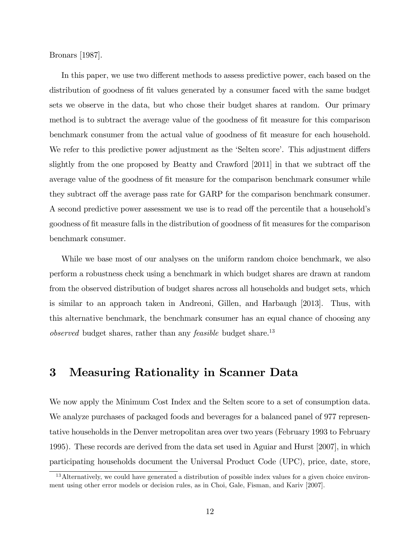Bronars [1987].

In this paper, we use two different methods to assess predictive power, each based on the distribution of goodness of fit values generated by a consumer faced with the same budget sets we observe in the data, but who chose their budget shares at random. Our primary method is to subtract the average value of the goodness of fit measure for this comparison benchmark consumer from the actual value of goodness of fit measure for each household. We refer to this predictive power adjustment as the 'Selten score'. This adjustment differs slightly from the one proposed by Beatty and Crawford  $|2011|$  in that we subtract off the average value of the goodness of fit measure for the comparison benchmark consumer while they subtract off the average pass rate for GARP for the comparison benchmark consumer. A second predictive power assessment we use is to read off the percentile that a household's goodness of Öt measure falls in the distribution of goodness of Öt measures for the comparison benchmark consumer.

While we base most of our analyses on the uniform random choice benchmark, we also perform a robustness check using a benchmark in which budget shares are drawn at random from the observed distribution of budget shares across all households and budget sets, which is similar to an approach taken in Andreoni, Gillen, and Harbaugh [2013]. Thus, with this alternative benchmark, the benchmark consumer has an equal chance of choosing any *observed* budget shares, rather than any *feasible* budget share.<sup>13</sup>

# 3 Measuring Rationality in Scanner Data

We now apply the Minimum Cost Index and the Selten score to a set of consumption data. We analyze purchases of packaged foods and beverages for a balanced panel of 977 representative households in the Denver metropolitan area over two years (February 1993 to February 1995). These records are derived from the data set used in Aguiar and Hurst [2007], in which participating households document the Universal Product Code (UPC), price, date, store,

<sup>&</sup>lt;sup>13</sup>Alternatively, we could have generated a distribution of possible index values for a given choice environment using other error models or decision rules, as in Choi, Gale, Fisman, and Kariv [2007].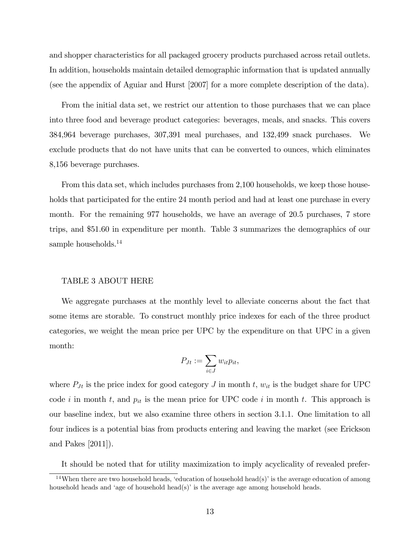and shopper characteristics for all packaged grocery products purchased across retail outlets. In addition, households maintain detailed demographic information that is updated annually (see the appendix of Aguiar and Hurst [2007] for a more complete description of the data).

From the initial data set, we restrict our attention to those purchases that we can place into three food and beverage product categories: beverages, meals, and snacks. This covers 384,964 beverage purchases, 307,391 meal purchases, and 132,499 snack purchases. We exclude products that do not have units that can be converted to ounces, which eliminates 8,156 beverage purchases.

From this data set, which includes purchases from 2,100 households, we keep those households that participated for the entire 24 month period and had at least one purchase in every month. For the remaining 977 households, we have an average of 20.5 purchases, 7 store trips, and \$51.60 in expenditure per month. Table 3 summarizes the demographics of our sample households.<sup>14</sup>

#### TABLE 3 ABOUT HERE

We aggregate purchases at the monthly level to alleviate concerns about the fact that some items are storable. To construct monthly price indexes for each of the three product categories, we weight the mean price per UPC by the expenditure on that UPC in a given month:

$$
P_{Jt} := \sum_{i \in J} w_{it} p_{it},
$$

where  $P_{Jt}$  is the price index for good category J in month t,  $w_{it}$  is the budget share for UPC code i in month t, and  $p_{it}$  is the mean price for UPC code i in month t. This approach is our baseline index, but we also examine three others in section 3.1.1. One limitation to all four indices is a potential bias from products entering and leaving the market (see Erickson and Pakes [2011]).

It should be noted that for utility maximization to imply acyclicality of revealed prefer-

 $14$ When there are two household heads, 'education of household head(s)' is the average education of among household heads and 'age of household head(s)' is the average age among household heads.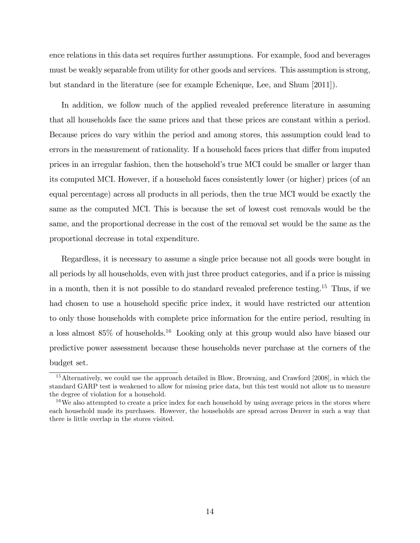ence relations in this data set requires further assumptions. For example, food and beverages must be weakly separable from utility for other goods and services. This assumption is strong, but standard in the literature (see for example Echenique, Lee, and Shum [2011]).

In addition, we follow much of the applied revealed preference literature in assuming that all households face the same prices and that these prices are constant within a period. Because prices do vary within the period and among stores, this assumption could lead to errors in the measurement of rationality. If a household faces prices that differ from imputed prices in an irregular fashion, then the household's true MCI could be smaller or larger than its computed MCI. However, if a household faces consistently lower (or higher) prices (of an equal percentage) across all products in all periods, then the true MCI would be exactly the same as the computed MCI. This is because the set of lowest cost removals would be the same, and the proportional decrease in the cost of the removal set would be the same as the proportional decrease in total expenditure.

Regardless, it is necessary to assume a single price because not all goods were bought in all periods by all households, even with just three product categories, and if a price is missing in a month, then it is not possible to do standard revealed preference testing.<sup>15</sup> Thus, if we had chosen to use a household specific price index, it would have restricted our attention to only those households with complete price information for the entire period, resulting in a loss almost 85% of households.<sup>16</sup> Looking only at this group would also have biased our predictive power assessment because these households never purchase at the corners of the budget set.

<sup>15</sup>Alternatively, we could use the approach detailed in Blow, Browning, and Crawford [2008], in which the standard GARP test is weakened to allow for missing price data, but this test would not allow us to measure the degree of violation for a household.

 $16\,\text{We also attempted to create a price index for each household by using average prices in the stores where}$ each household made its purchases. However, the households are spread across Denver in such a way that there is little overlap in the stores visited.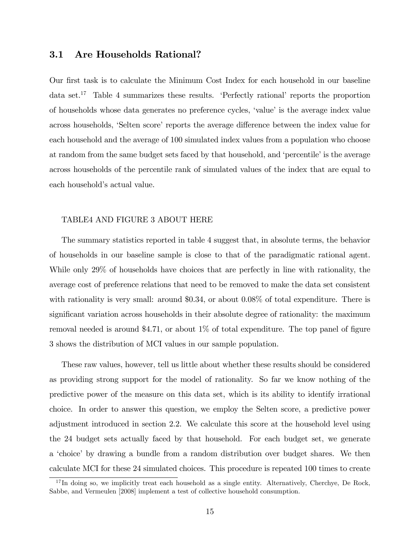# 3.1 Are Households Rational?

Our first task is to calculate the Minimum Cost Index for each household in our baseline data set.<sup>17</sup> Table 4 summarizes these results. 'Perfectly rational' reports the proportion of households whose data generates no preference cycles, 'value' is the average index value across households, 'Selten score' reports the average difference between the index value for each household and the average of 100 simulated index values from a population who choose at random from the same budget sets faced by that household, and 'percentile' is the average across households of the percentile rank of simulated values of the index that are equal to each household's actual value.

#### TABLE4 AND FIGURE 3 ABOUT HERE

The summary statistics reported in table 4 suggest that, in absolute terms, the behavior of households in our baseline sample is close to that of the paradigmatic rational agent. While only 29% of households have choices that are perfectly in line with rationality, the average cost of preference relations that need to be removed to make the data set consistent with rationality is very small: around \$0.34, or about 0.08% of total expenditure. There is significant variation across households in their absolute degree of rationality: the maximum removal needed is around  $$4.71$ , or about  $1\%$  of total expenditure. The top panel of figure 3 shows the distribution of MCI values in our sample population.

These raw values, however, tell us little about whether these results should be considered as providing strong support for the model of rationality. So far we know nothing of the predictive power of the measure on this data set, which is its ability to identify irrational choice. In order to answer this question, we employ the Selten score, a predictive power adjustment introduced in section 2.2. We calculate this score at the household level using the 24 budget sets actually faced by that household. For each budget set, we generate a ëchoiceí by drawing a bundle from a random distribution over budget shares. We then calculate MCI for these 24 simulated choices. This procedure is repeated 100 times to create

 $17$ In doing so, we implicitly treat each household as a single entity. Alternatively, Cherchye, De Rock, Sabbe, and Vermeulen [2008] implement a test of collective household consumption.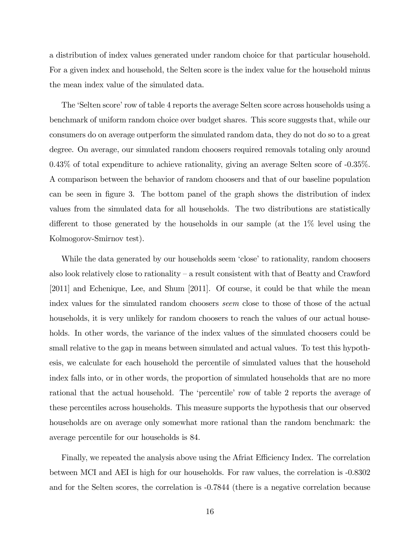a distribution of index values generated under random choice for that particular household. For a given index and household, the Selten score is the index value for the household minus the mean index value of the simulated data.

The 'Selten score' row of table 4 reports the average Selten score across households using a benchmark of uniform random choice over budget shares. This score suggests that, while our consumers do on average outperform the simulated random data, they do not do so to a great degree. On average, our simulated random choosers required removals totaling only around 0.43% of total expenditure to achieve rationality, giving an average Selten score of -0.35%. A comparison between the behavior of random choosers and that of our baseline population can be seen in figure 3. The bottom panel of the graph shows the distribution of index values from the simulated data for all households. The two distributions are statistically different to those generated by the households in our sample (at the  $1\%$  level using the Kolmogorov-Smirnov test).

While the data generated by our households seem 'close' to rationality, random choosers also look relatively close to rationality  $-$  a result consistent with that of Beatty and Crawford [2011] and Echenique, Lee, and Shum [2011]. Of course, it could be that while the mean index values for the simulated random choosers seem close to those of those of the actual households, it is very unlikely for random choosers to reach the values of our actual households. In other words, the variance of the index values of the simulated choosers could be small relative to the gap in means between simulated and actual values. To test this hypothesis, we calculate for each household the percentile of simulated values that the household index falls into, or in other words, the proportion of simulated households that are no more rational that the actual household. The 'percentile' row of table 2 reports the average of these percentiles across households. This measure supports the hypothesis that our observed households are on average only somewhat more rational than the random benchmark: the average percentile for our households is 84.

Finally, we repeated the analysis above using the Afriat Efficiency Index. The correlation between MCI and AEI is high for our households. For raw values, the correlation is -0.8302 and for the Selten scores, the correlation is -0.7844 (there is a negative correlation because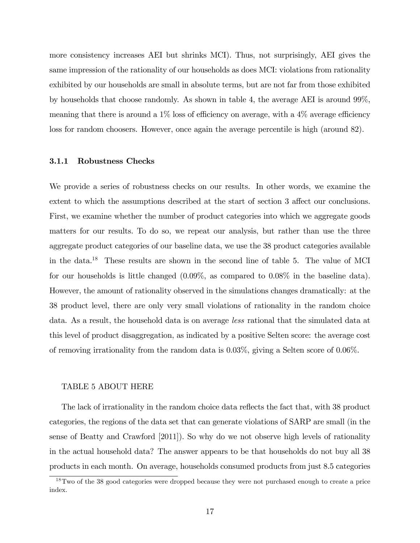more consistency increases AEI but shrinks MCI). Thus, not surprisingly, AEI gives the same impression of the rationality of our households as does MCI: violations from rationality exhibited by our households are small in absolute terms, but are not far from those exhibited by households that choose randomly. As shown in table 4, the average AEI is around 99%, meaning that there is around a  $1\%$  loss of efficiency on average, with a  $4\%$  average efficiency loss for random choosers. However, once again the average percentile is high (around 82).

#### 3.1.1 Robustness Checks

We provide a series of robustness checks on our results. In other words, we examine the extent to which the assumptions described at the start of section 3 affect our conclusions. First, we examine whether the number of product categories into which we aggregate goods matters for our results. To do so, we repeat our analysis, but rather than use the three aggregate product categories of our baseline data, we use the 38 product categories available in the data.<sup>18</sup> These results are shown in the second line of table 5. The value of MCI for our households is little changed (0.09%, as compared to 0.08% in the baseline data). However, the amount of rationality observed in the simulations changes dramatically: at the 38 product level, there are only very small violations of rationality in the random choice data. As a result, the household data is on average less rational that the simulated data at this level of product disaggregation, as indicated by a positive Selten score: the average cost of removing irrationality from the random data is 0.03%, giving a Selten score of 0.06%.

#### TABLE 5 ABOUT HERE

The lack of irrationality in the random choice data reflects the fact that, with 38 product categories, the regions of the data set that can generate violations of SARP are small (in the sense of Beatty and Crawford [2011]). So why do we not observe high levels of rationality in the actual household data? The answer appears to be that households do not buy all 38 products in each month. On average, households consumed products from just 8.5 categories

<sup>&</sup>lt;sup>18</sup>Two of the 38 good categories were dropped because they were not purchased enough to create a price index.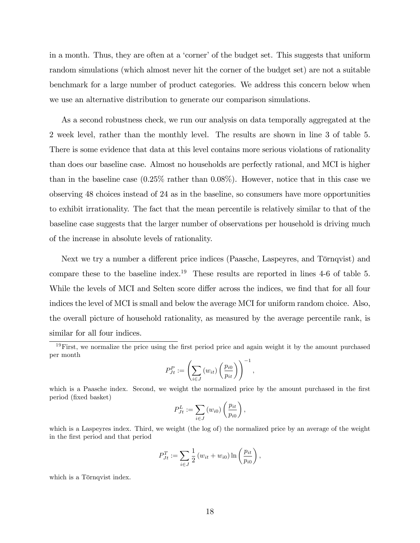in a month. Thus, they are often at a 'corner' of the budget set. This suggests that uniform random simulations (which almost never hit the corner of the budget set) are not a suitable benchmark for a large number of product categories. We address this concern below when we use an alternative distribution to generate our comparison simulations.

As a second robustness check, we run our analysis on data temporally aggregated at the 2 week level, rather than the monthly level. The results are shown in line 3 of table 5. There is some evidence that data at this level contains more serious violations of rationality than does our baseline case. Almost no households are perfectly rational, and MCI is higher than in the baseline case (0.25% rather than 0.08%). However, notice that in this case we observing 48 choices instead of 24 as in the baseline, so consumers have more opportunities to exhibit irrationality. The fact that the mean percentile is relatively similar to that of the baseline case suggests that the larger number of observations per household is driving much of the increase in absolute levels of rationality.

Next we try a number a different price indices (Paasche, Laspeyres, and Törnqvist) and compare these to the baseline index.<sup>19</sup> These results are reported in lines 4-6 of table 5. While the levels of MCI and Selten score differ across the indices, we find that for all four indices the level of MCI is small and below the average MCI for uniform random choice. Also, the overall picture of household rationality, as measured by the average percentile rank, is similar for all four indices.

$$
P_{Jt}^{P} := \left(\sum_{i \in J} \left(w_{it}\right) \left(\frac{p_{i0}}{p_{it}}\right)\right)^{-1},
$$

which is a Paasche index. Second, we weight the normalized price by the amount purchased in the first period (Öxed basket)

$$
P_{Jt}^{L} := \sum_{i \in J} (w_{i0}) \left( \frac{p_{it}}{p_{i0}} \right),
$$

which is a Laspeyres index. Third, we weight (the log of) the normalized price by an average of the weight in the Örst period and that period

$$
P_{Jt}^{T} := \sum_{i \in J} \frac{1}{2} (w_{it} + w_{i0}) \ln \left( \frac{p_{it}}{p_{i0}} \right),
$$

which is a Törnqvist index.

 $19$  First, we normalize the price using the first period price and again weight it by the amount purchased per month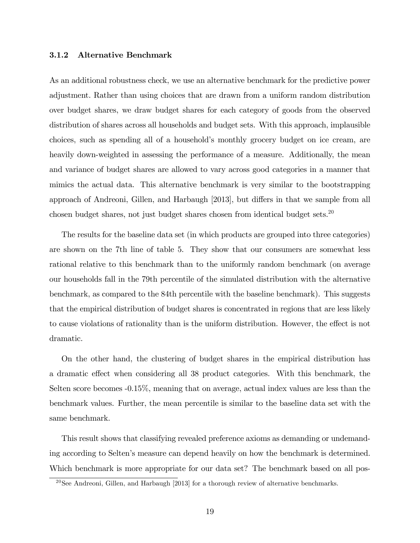#### 3.1.2 Alternative Benchmark

As an additional robustness check, we use an alternative benchmark for the predictive power adjustment. Rather than using choices that are drawn from a uniform random distribution over budget shares, we draw budget shares for each category of goods from the observed distribution of shares across all households and budget sets. With this approach, implausible choices, such as spending all of a household's monthly grocery budget on ice cream, are heavily down-weighted in assessing the performance of a measure. Additionally, the mean and variance of budget shares are allowed to vary across good categories in a manner that mimics the actual data. This alternative benchmark is very similar to the bootstrapping approach of Andreoni, Gillen, and Harbaugh [2013], but differs in that we sample from all chosen budget shares, not just budget shares chosen from identical budget sets.<sup>20</sup>

The results for the baseline data set (in which products are grouped into three categories) are shown on the 7th line of table 5. They show that our consumers are somewhat less rational relative to this benchmark than to the uniformly random benchmark (on average our households fall in the 79th percentile of the simulated distribution with the alternative benchmark, as compared to the 84th percentile with the baseline benchmark). This suggests that the empirical distribution of budget shares is concentrated in regions that are less likely to cause violations of rationality than is the uniform distribution. However, the effect is not dramatic.

On the other hand, the clustering of budget shares in the empirical distribution has a dramatic effect when considering all 38 product categories. With this benchmark, the Selten score becomes -0.15%, meaning that on average, actual index values are less than the benchmark values. Further, the mean percentile is similar to the baseline data set with the same benchmark.

This result shows that classifying revealed preference axioms as demanding or undemanding according to Seltenís measure can depend heavily on how the benchmark is determined. Which benchmark is more appropriate for our data set? The benchmark based on all pos-

 $^{20}$ See Andreoni, Gillen, and Harbaugh [2013] for a thorough review of alternative benchmarks.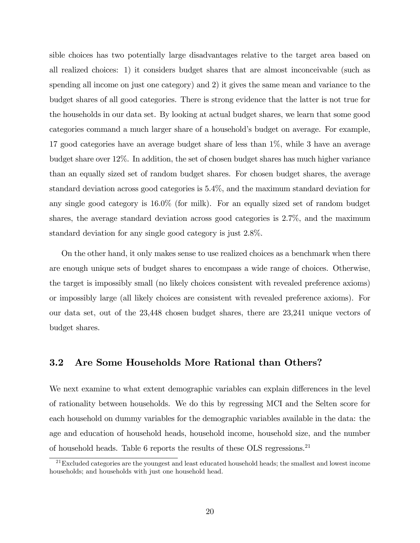sible choices has two potentially large disadvantages relative to the target area based on all realized choices: 1) it considers budget shares that are almost inconceivable (such as spending all income on just one category) and 2) it gives the same mean and variance to the budget shares of all good categories. There is strong evidence that the latter is not true for the households in our data set. By looking at actual budget shares, we learn that some good categories command a much larger share of a household's budget on average. For example, 17 good categories have an average budget share of less than 1%, while 3 have an average budget share over 12%. In addition, the set of chosen budget shares has much higher variance than an equally sized set of random budget shares. For chosen budget shares, the average standard deviation across good categories is 5.4%, and the maximum standard deviation for any single good category is 16.0% (for milk). For an equally sized set of random budget shares, the average standard deviation across good categories is 2.7%, and the maximum standard deviation for any single good category is just 2.8%.

On the other hand, it only makes sense to use realized choices as a benchmark when there are enough unique sets of budget shares to encompass a wide range of choices. Otherwise, the target is impossibly small (no likely choices consistent with revealed preference axioms) or impossibly large (all likely choices are consistent with revealed preference axioms). For our data set, out of the 23,448 chosen budget shares, there are 23,241 unique vectors of budget shares.

## 3.2 Are Some Households More Rational than Others?

We next examine to what extent demographic variables can explain differences in the level of rationality between households. We do this by regressing MCI and the Selten score for each household on dummy variables for the demographic variables available in the data: the age and education of household heads, household income, household size, and the number of household heads. Table 6 reports the results of these OLS regressions.<sup>21</sup>

 $^{21}$ Excluded categories are the youngest and least educated household heads; the smallest and lowest income households; and households with just one household head.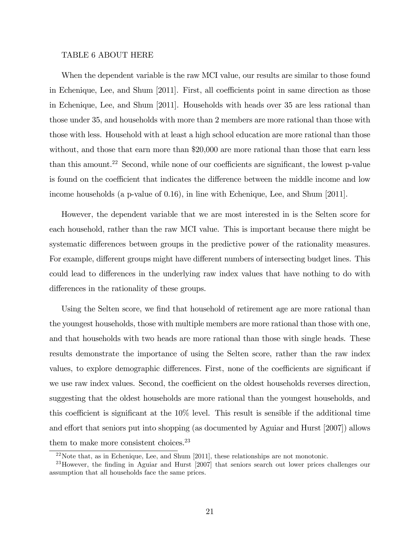#### TABLE 6 ABOUT HERE

When the dependent variable is the raw MCI value, our results are similar to those found in Echenique, Lee, and Shum  $[2011]$ . First, all coefficients point in same direction as those in Echenique, Lee, and Shum [2011]. Households with heads over 35 are less rational than those under 35, and households with more than 2 members are more rational than those with those with less. Household with at least a high school education are more rational than those without, and those that earn more than \$20,000 are more rational than those that earn less than this amount.<sup>22</sup> Second, while none of our coefficients are significant, the lowest p-value is found on the coefficient that indicates the difference between the middle income and low income households (a p-value of 0.16), in line with Echenique, Lee, and Shum [2011].

However, the dependent variable that we are most interested in is the Selten score for each household, rather than the raw MCI value. This is important because there might be systematic differences between groups in the predictive power of the rationality measures. For example, different groups might have different numbers of intersecting budget lines. This could lead to differences in the underlying raw index values that have nothing to do with differences in the rationality of these groups.

Using the Selten score, we find that household of retirement age are more rational than the youngest households, those with multiple members are more rational than those with one, and that households with two heads are more rational than those with single heads. These results demonstrate the importance of using the Selten score, rather than the raw index values, to explore demographic differences. First, none of the coefficients are significant if we use raw index values. Second, the coefficient on the oldest households reverses direction, suggesting that the oldest households are more rational than the youngest households, and this coefficient is significant at the  $10\%$  level. This result is sensible if the additional time and effort that seniors put into shopping (as documented by Aguiar and Hurst [2007]) allows them to make more consistent choices.<sup>23</sup>

 $22$ Note that, as in Echenique, Lee, and Shum [2011], these relationships are not monotonic.

<sup>&</sup>lt;sup>23</sup>However, the finding in Aguiar and Hurst [2007] that seniors search out lower prices challenges our assumption that all households face the same prices.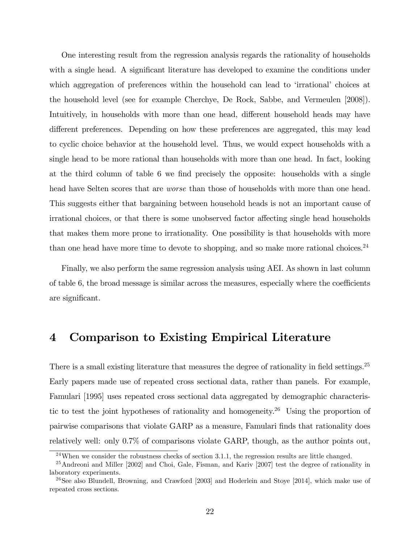One interesting result from the regression analysis regards the rationality of households with a single head. A significant literature has developed to examine the conditions under which aggregation of preferences within the household can lead to 'irrational' choices at the household level (see for example Cherchye, De Rock, Sabbe, and Vermeulen [2008]). Intuitively, in households with more than one head, different household heads may have different preferences. Depending on how these preferences are aggregated, this may lead to cyclic choice behavior at the household level. Thus, we would expect households with a single head to be more rational than households with more than one head. In fact, looking at the third column of table 6 we find precisely the opposite: households with a single head have Selten scores that are *worse* than those of households with more than one head. This suggests either that bargaining between household heads is not an important cause of irrational choices, or that there is some unobserved factor affecting single head households that makes them more prone to irrationality. One possibility is that households with more than one head have more time to devote to shopping, and so make more rational choices.<sup>24</sup>

Finally, we also perform the same regression analysis using AEI. As shown in last column of table 6, the broad message is similar across the measures, especially where the coefficients are significant.

# 4 Comparison to Existing Empirical Literature

There is a small existing literature that measures the degree of rationality in field settings.<sup>25</sup> Early papers made use of repeated cross sectional data, rather than panels. For example, Famulari [1995] uses repeated cross sectional data aggregated by demographic characteristic to test the joint hypotheses of rationality and homogeneity.<sup>26</sup> Using the proportion of pairwise comparisons that violate GARP as a measure, Famulari finds that rationality does relatively well: only 0.7% of comparisons violate GARP, though, as the author points out,

 $^{24}$ When we consider the robustness checks of section 3.1.1, the regression results are little changed.

<sup>25</sup>Andreoni and Miller [2002] and Choi, Gale, Fisman, and Kariv [2007] test the degree of rationality in laboratory experiments.

<sup>&</sup>lt;sup>26</sup>See also Blundell, Browning, and Crawford [2003] and Hoderlein and Stoye [2014], which make use of repeated cross sections.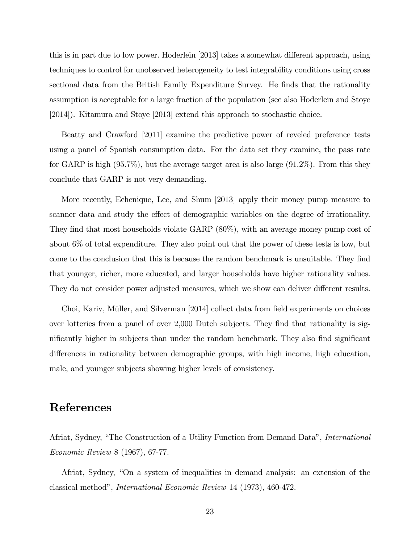this is in part due to low power. Hoderlein [2013] takes a somewhat different approach, using techniques to control for unobserved heterogeneity to test integrability conditions using cross sectional data from the British Family Expenditure Survey. He finds that the rationality assumption is acceptable for a large fraction of the population (see also Hoderlein and Stoye [2014]). Kitamura and Stoye [2013] extend this approach to stochastic choice.

Beatty and Crawford [2011] examine the predictive power of reveled preference tests using a panel of Spanish consumption data. For the data set they examine, the pass rate for GARP is high (95.7%), but the average target area is also large (91.2%). From this they conclude that GARP is not very demanding.

More recently, Echenique, Lee, and Shum [2013] apply their money pump measure to scanner data and study the effect of demographic variables on the degree of irrationality. They find that most households violate GARP  $(80\%)$ , with an average money pump cost of about 6% of total expenditure. They also point out that the power of these tests is low, but come to the conclusion that this is because the random benchmark is unsuitable. They find that younger, richer, more educated, and larger households have higher rationality values. They do not consider power adjusted measures, which we show can deliver different results.

Choi, Kariv, Müller, and Silverman [2014] collect data from field experiments on choices over lotteries from a panel of over 2,000 Dutch subjects. They find that rationality is significantly higher in subjects than under the random benchmark. They also find significant differences in rationality between demographic groups, with high income, high education, male, and younger subjects showing higher levels of consistency.

# References

Afriat, Sydney, "The Construction of a Utility Function from Demand Data", *International* Economic Review 8 (1967), 67-77.

Afriat, Sydney, "On a system of inequalities in demand analysis: an extension of the classical methodî, International Economic Review 14 (1973), 460-472.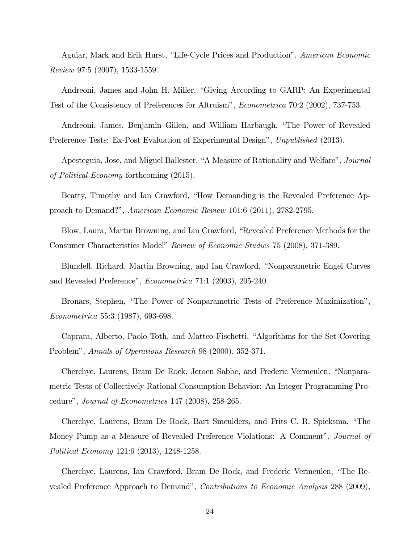Aguiar, Mark and Erik Hurst, "Life-Cycle Prices and Production", American Economic Review 97:5 (2007), 1533-1559.

Andreoni, James and John H. Miller, "Giving According to GARP: An Experimental Test of the Consistency of Preferences for Altruismî, Econometrica 70:2 (2002), 737-753.

Andreoni, James, Benjamin Gillen, and William Harbaugh, "The Power of Revealed Preference Tests: Ex-Post Evaluation of Experimental Design", Unpublished (2013).

Apesteguia, Jose, and Miguel Ballester, "A Measure of Rationality and Welfare", *Journal* of Political Economy forthcoming (2015).

Beatty, Timothy and Ian Crawford, "How Demanding is the Revealed Preference Approach to Demand?", American Economic Review 101:6 (2011), 2782-2795.

Blow, Laura, Martin Browning, and Ian Crawford, "Revealed Preference Methods for the Consumer Characteristics Model" Review of Economic Studies 75 (2008), 371-389.

Blundell, Richard, Martin Browning, and Ian Crawford, "Nonparametric Engel Curves and Revealed Preference", *Econometrica* 71:1 (2003), 205-240.

Bronars, Stephen, "The Power of Nonparametric Tests of Preference Maximization", Econometrica 55:3 (1987), 693-698.

Caprara, Alberto, Paolo Toth, and Matteo Fischetti, "Algorithms for the Set Covering Problemî, Annals of Operations Research 98 (2000), 352-371.

Cherchye, Laurens, Bram De Rock, Jeroen Sabbe, and Frederic Vermeulen, "Nonparametric Tests of Collectively Rational Consumption Behavior: An Integer Programming Procedure", Journal of Econometrics 147 (2008),  $258-265$ .

Cherchye, Laurens, Bram De Rock, Bart Smeulders, and Frits C. R. Spieksma, "The Money Pump as a Measure of Revealed Preference Violations: A Comment", *Journal of* Political Economy 121:6 (2013), 1248-1258.

Cherchye, Laurens, Ian Crawford, Bram De Rock, and Frederic Vermeulen, "The Revealed Preference Approach to Demand", Contributions to Economic Analysis 288 (2009),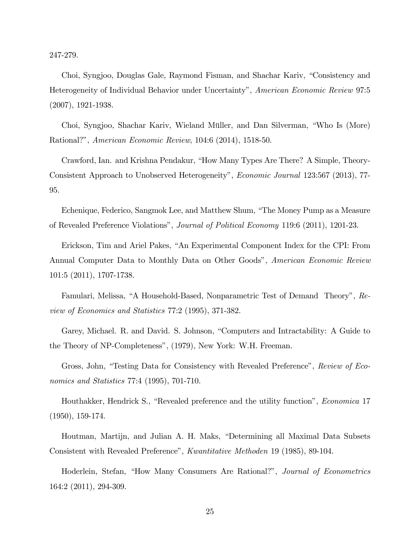247-279.

Choi, Syngjoo, Douglas Gale, Raymond Fisman, and Shachar Kariv, "Consistency and Heterogeneity of Individual Behavior under Uncertainty", American Economic Review 97:5 (2007), 1921-1938.

Choi, Syngjoo, Shachar Kariv, Wieland Müller, and Dan Silverman, "Who Is (More) Rational?î, American Economic Review, 104:6 (2014), 1518-50.

Crawford, Ian. and Krishna Pendakur, "How Many Types Are There? A Simple, Theory-Consistent Approach to Unobserved Heterogeneity", *Economic Journal* 123:567 (2013), 77-95.

Echenique, Federico, Sangmok Lee, and Matthew Shum, "The Money Pump as a Measure of Revealed Preference Violationsî, Journal of Political Economy 119:6 (2011), 1201-23.

Erickson, Tim and Ariel Pakes, "An Experimental Component Index for the CPI: From Annual Computer Data to Monthly Data on Other Goods", American Economic Review 101:5 (2011), 1707-1738.

Famulari, Melissa, "A Household-Based, Nonparametric Test of Demand Theory", Review of Economics and Statistics 77:2 (1995), 371-382.

Garey, Michael. R. and David. S. Johnson, "Computers and Intractability: A Guide to the Theory of NP-Completeness", (1979), New York: W.H. Freeman.

Gross, John, "Testing Data for Consistency with Revealed Preference", Review of Economics and Statistics 77:4 (1995), 701-710.

Houthakker, Hendrick S., "Revealed preference and the utility function", *Economica* 17 (1950), 159-174.

Houtman, Martijn, and Julian A. H. Maks, "Determining all Maximal Data Subsets Consistent with Revealed Preference", *Kwantitative Methoden* 19 (1985), 89-104.

Hoderlein, Stefan, "How Many Consumers Are Rational?", Journal of Econometrics 164:2 (2011), 294-309.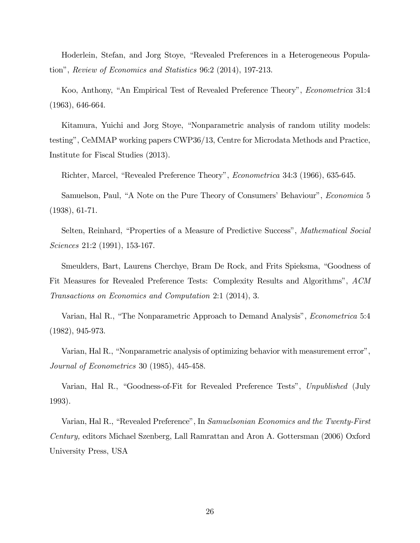Hoderlein, Stefan, and Jorg Stoye, "Revealed Preferences in a Heterogeneous Populationî, Review of Economics and Statistics 96:2 (2014), 197-213.

Koo, Anthony, "An Empirical Test of Revealed Preference Theory", *Econometrica* 31:4 (1963), 646-664.

Kitamura, Yuichi and Jorg Stoye, "Nonparametric analysis of random utility models: testingî, CeMMAP working papers CWP36/13, Centre for Microdata Methods and Practice, Institute for Fiscal Studies (2013).

Richter, Marcel, "Revealed Preference Theory", *Econometrica* 34:3 (1966), 635-645.

Samuelson, Paul, "A Note on the Pure Theory of Consumers' Behaviour", *Economica* 5 (1938), 61-71.

Selten, Reinhard, "Properties of a Measure of Predictive Success", *Mathematical Social* Sciences 21:2 (1991), 153-167.

Smeulders, Bart, Laurens Cherchye, Bram De Rock, and Frits Spieksma, "Goodness of Fit Measures for Revealed Preference Tests: Complexity Results and Algorithmsî, ACM Transactions on Economics and Computation 2:1 (2014), 3.

Varian, Hal R., "The Nonparametric Approach to Demand Analysis", *Econometrica* 5:4 (1982), 945-973.

Varian, Hal R., "Nonparametric analysis of optimizing behavior with measurement error", Journal of Econometrics 30 (1985), 445-458.

Varian, Hal R., "Goodness-of-Fit for Revealed Preference Tests", Unpublished (July 1993).

Varian, Hal R., "Revealed Preference", In Samuelsonian Economics and the Twenty-First Century, editors Michael Szenberg, Lall Ramrattan and Aron A. Gottersman (2006) Oxford University Press, USA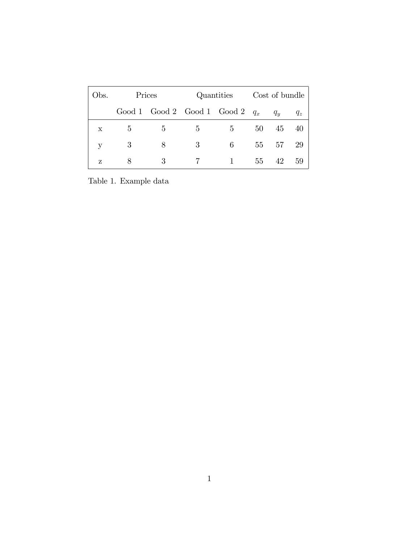| Obs.         | Prices |                                   | Quantities |                | Cost of bundle |       |         |
|--------------|--------|-----------------------------------|------------|----------------|----------------|-------|---------|
|              |        | Good 1 Good 2 Good 1 Good 2 $q_x$ |            |                |                | $q_u$ | $q_{z}$ |
| $\mathbf x$  | 5      | 5                                 | 5          | 5 <sup>5</sup> | 50             | 45    | 40      |
| $\mathbf{V}$ | 3      | 8                                 | 3          | 6              | 55             | 57    | -29     |
| Z            | 8      | 3                                 |            | $\mathbf{1}$   | 55             | 42    | 59      |

Table 1. Example data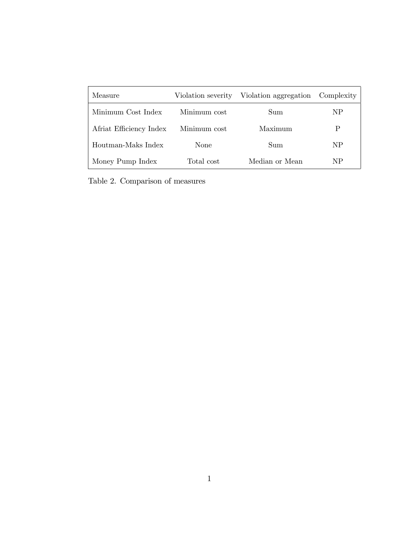| Measure                 | Violation severity | Violation aggregation Complexity |    |
|-------------------------|--------------------|----------------------------------|----|
| Minimum Cost Index      | Minimum cost       | Sum                              | NP |
| Afriat Efficiency Index | Minimum cost       | Maximum                          | P  |
| Houtman-Maks Index      | None               | Sum                              | NP |
| Money Pump Index        | Total cost         | Median or Mean                   | NP |

Table 2. Comparison of measures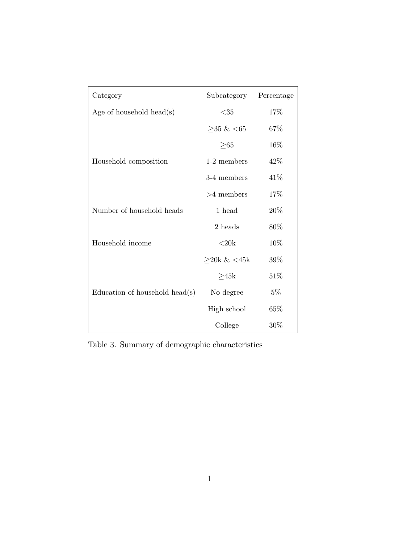| Category                       | Subcategory        | Percentage |
|--------------------------------|--------------------|------------|
| Age of household head(s)       | $<$ 35             | 17%        |
|                                | $≥35$ & <65        | 67%        |
|                                | $\geq 65$          | $16\%$     |
| Household composition          | 1-2 members        | 42\%       |
|                                | 3-4 members        | 41\%       |
|                                | $>4$ members       | 17%        |
| Number of household heads      | 1 head             | 20%        |
|                                | 2 heads            | 80\%       |
| Household income               | $<$ 20 $k$         | 10%        |
|                                | $\geq$ 20k & <45k  | 39%        |
|                                | ${\geq}45\text{k}$ | 51%        |
| Education of household head(s) | No degree          | $5\%$      |
|                                | High school        | 65\%       |
|                                | College            | 30%        |

Table 3. Summary of demographic characteristics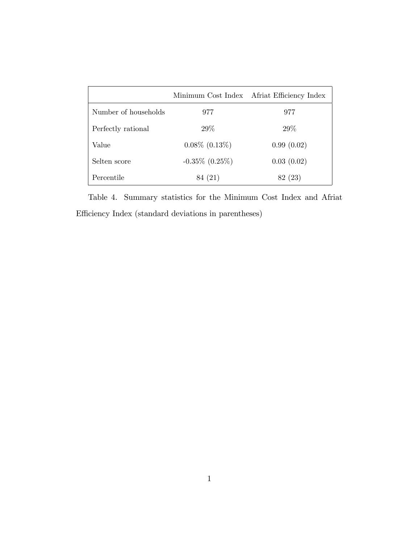|                      |                      | Minimum Cost Index Afriat Efficiency Index |
|----------------------|----------------------|--------------------------------------------|
| Number of households | 977                  | 977                                        |
| Perfectly rational   | 29%                  | 29\%                                       |
| Value                | $0.08\%$ $(0.13\%)$  | 0.99(0.02)                                 |
| Selten score         | $-0.35\%$ $(0.25\%)$ | 0.03(0.02)                                 |
| Percentile           | 84 (21)              | 82 (23)                                    |

Table 4. Summary statistics for the Minimum Cost Index and Afriat Efficiency Index (standard deviations in parentheses)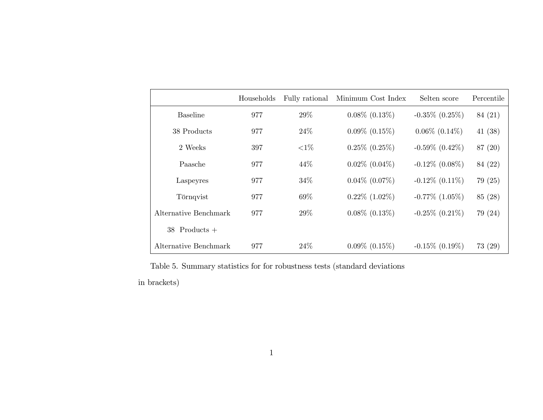|                       | Households | Fully rational | Minimum Cost Index  | Selten score         | Percentile |
|-----------------------|------------|----------------|---------------------|----------------------|------------|
| <b>Baseline</b>       | 977        | 29%            | $0.08\%$ $(0.13\%)$ | $-0.35\%$ $(0.25\%)$ | 84 (21)    |
| 38 Products           | 977        | 24\%           | $0.09\%$ $(0.15\%)$ | $0.06\%$ $(0.14\%)$  | 41(38)     |
| 2 Weeks               | 397        | ${<}1\%$       | $0.25\%$ $(0.25\%)$ | $-0.59\%$ $(0.42\%)$ | 87 (20)    |
| Paasche               | 977        | 44\%           | $0.02\%$ $(0.04\%)$ | $-0.12\%$ (0.08%)    | 84 (22)    |
| Laspeyres             | 977        | 34\%           | $0.04\%$ $(0.07\%)$ | $-0.12\%$ $(0.11\%)$ | 79 (25)    |
| Törnqvist             | 977        | 69%            | $0.22\%$ $(1.02\%)$ | $-0.77\%$ $(1.05\%)$ | 85 (28)    |
| Alternative Benchmark | 977        | 29%            | $0.08\%$ $(0.13\%)$ | $-0.25\%$ $(0.21\%)$ | 79 (24)    |
| $38$ Products $+$     |            |                |                     |                      |            |
| Alternative Benchmark | 977        | 24%            | $0.09\%$ $(0.15\%)$ | $-0.15\%$ $(0.19\%)$ | 73(29)     |

Table 5. Summary statistics for for robustness tests (standard deviations

in brackets)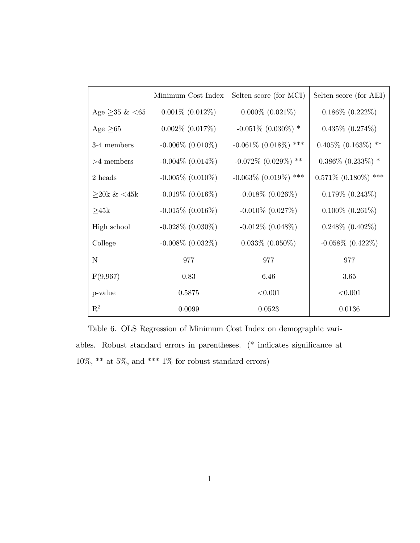|                     | Minimum Cost Index    | Selten score (for MCI)   | Selten score (for AEI)   |
|---------------------|-----------------------|--------------------------|--------------------------|
| Age $\geq 35 \< 65$ | $0.001\%$ $(0.012\%)$ | $0.000\%$ $(0.021\%)$    | $0.186\%$ $(0.222\%)$    |
| Age $\geq 65$       | $0.002\%$ (0.017\%)   | $-0.051\%$ (0.030\%) *   | $0.435\%$ $(0.274\%)$    |
| 3-4 members         | $-0.006\%$ (0.010\%)  | $-0.061\%$ (0.018\%) *** | $0.405\%$ $(0.163\%)$ ** |
| $>4$ members        | $-0.004\%$ (0.014\%)  | $-0.072\%$ (0.029%) **   | $0.386\%$ $(0.233\%)$ *  |
| 2 heads             | $-0.005\%$ (0.010\%)  | $-0.063\%$ (0.019\%) *** | $0.571\%$ (0.180%) ***   |
| $>$ 20k & <45k      | $-0.019\%$ (0.016\%)  | $-0.018\%$ (0.026\%)     | $0.179\%$ $(0.243\%)$    |
| $\geq 45k$          | $-0.015\%$ (0.016\%)  | $-0.010\%$ (0.027\%)     | $0.100\%$ $(0.261\%)$    |
| High school         | $-0.028\%$ (0.030\%)  | $-0.012\%$ (0.048%)      | $0.248\%$ $(0.402\%)$    |
| College             | $-0.008\%$ (0.032\%)  | $0.033\%$ $(0.050\%)$    | $-0.058\%$ $(0.422\%)$   |
| $\mathbf N$         | 977                   | 977                      | 977                      |
| F(9,967)            | 0.83                  | 6.46                     | 3.65                     |
| p-value             | 0.5875                | < 0.001                  | < 0.001                  |
| $\mathbf{R}^2$      | 0.0099                | 0.0523                   | 0.0136                   |

Table 6. OLS Regression of Minimum Cost Index on demographic variables. Robust standard errors in parentheses. ( $*$  indicates significance at  $10\%,$  \*\* at 5%, and \*\*\*  $1\%$  for robust standard errors)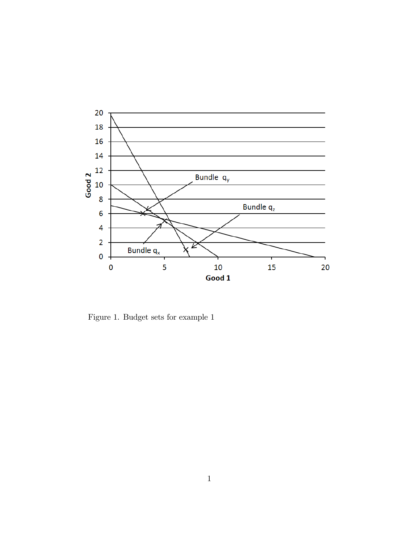

Figure 1. Budget sets for example 1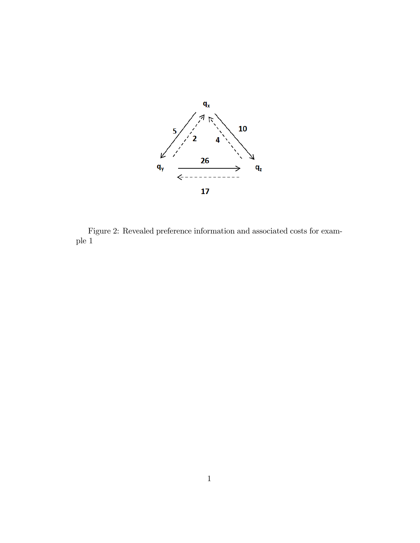

Figure 2: Revealed preference information and associated costs for example 1